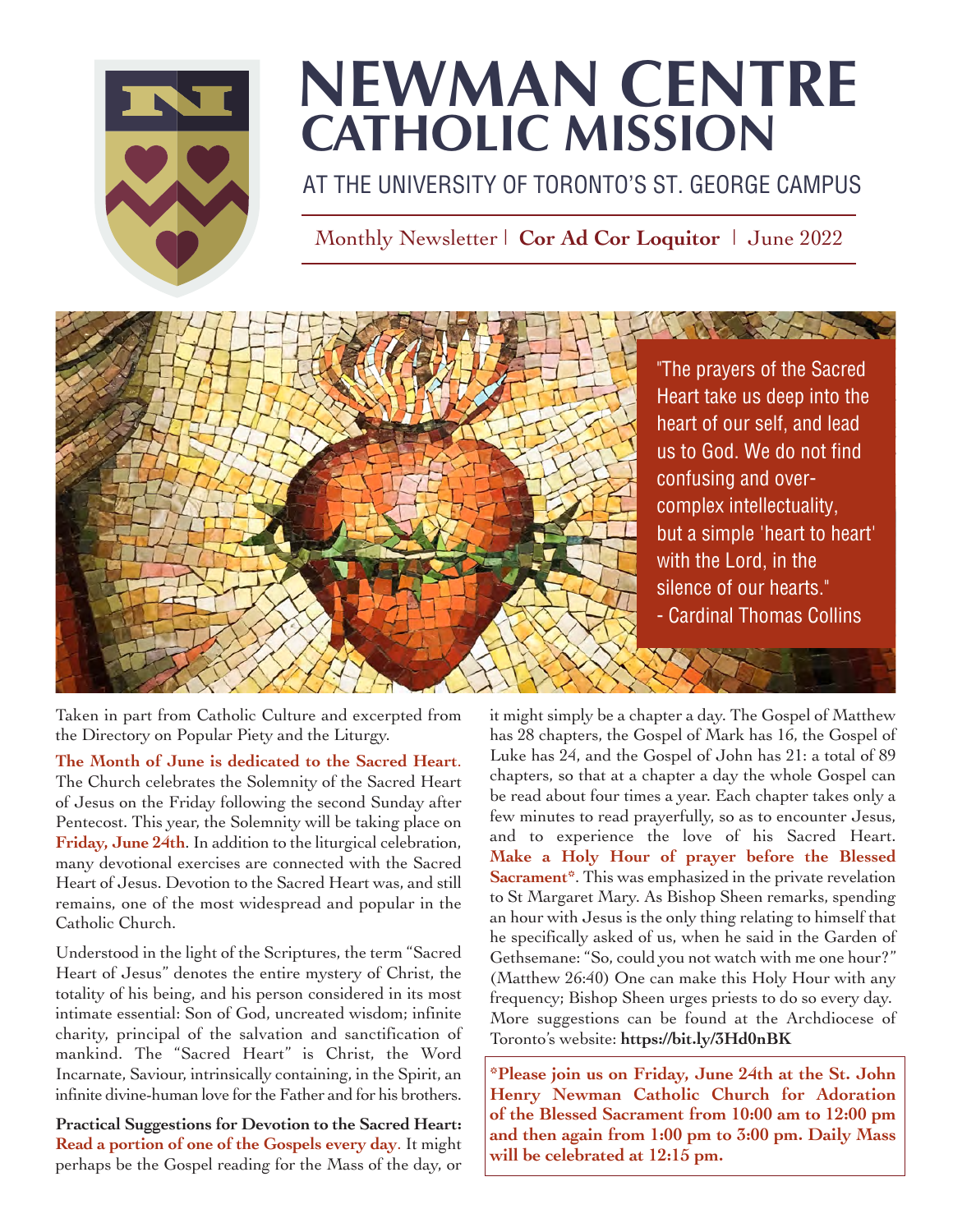

## **NEWMAN CENTRE CATHOLIC MISSION**

AT THE UNIVERSITY OF TORONTO'S ST. GEORGE CAMPUS

Monthly Newsletter | **Cor Ad Cor Loquitor** | June 2022



Taken in part from Catholic Culture and excerpted from the Directory on Popular Piety and the Liturgy.

**The Month of June is dedicated to the Sacred Heart**. The Church celebrates the Solemnity of the Sacred Heart of Jesus on the Friday following the second Sunday after Pentecost. This year, the Solemnity will be taking place on **Friday, June 24th**. In addition to the liturgical celebration, many devotional exercises are connected with the Sacred Heart of Jesus. Devotion to the Sacred Heart was, and still remains, one of the most widespread and popular in the Catholic Church.

Understood in the light of the Scriptures, the term "Sacred Heart of Jesus" denotes the entire mystery of Christ, the totality of his being, and his person considered in its most intimate essential: Son of God, uncreated wisdom; infinite charity, principal of the salvation and sanctification of mankind. The "Sacred Heart" is Christ, the Word Incarnate, Saviour, intrinsically containing, in the Spirit, an infinite divine-human love for the Father and for his brothers.

**Practical Suggestions for Devotion to the Sacred Heart: Read a portion of one of the Gospels every day**. It might perhaps be the Gospel reading for the Mass of the day, or

it might simply be a chapter a day. The Gospel of Matthew has 28 chapters, the Gospel of Mark has 16, the Gospel of Luke has 24, and the Gospel of John has 21: a total of 89 chapters, so that at a chapter a day the whole Gospel can be read about four times a year. Each chapter takes only a few minutes to read prayerfully, so as to encounter Jesus, and to experience the love of his Sacred Heart. **Make a Holy Hour of prayer before the Blessed Sacrament\***. This was emphasized in the private revelation to St Margaret Mary. As Bishop Sheen remarks, spending an hour with Jesus is the only thing relating to himself that he specifically asked of us, when he said in the Garden of Gethsemane: "So, could you not watch with me one hour?" (Matthew 26:40) One can make this Holy Hour with any frequency; Bishop Sheen urges priests to do so every day. More suggestions can be found at the Archdiocese of Toronto's website: **<https://bit.ly/3Hd0nBK>**

**\*Please join us on Friday, June 24th at the St. John Henry Newman Catholic Church for Adoration of the Blessed Sacrament from 10:00 am to 12:00 pm and then again from 1:00 pm to 3:00 pm. Daily Mass will be celebrated at 12:15 pm.**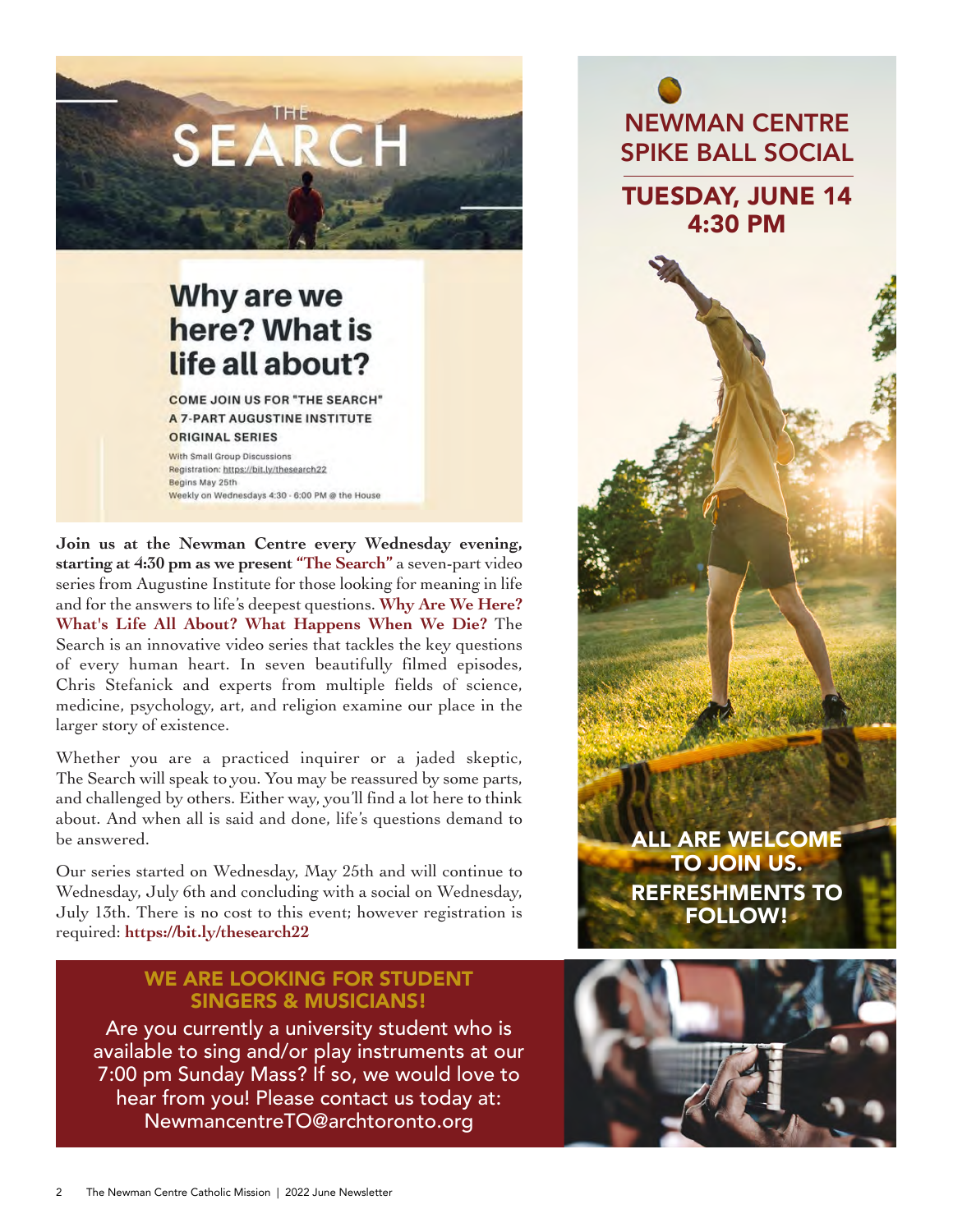

### Why are we here? What is life all about?

**COME JOIN US FOR "THE SEARCH" A 7-PART AUGUSTINE INSTITUTE** ORIGINAL SERIES

**With Small Group Discussions** Registration: https://bit.lv/thesearch22 Begins May 25th Weekly on Wednesdays 4:30 - 6:00 PM @ the House

**Join us at the Newman Centre every Wednesday evening, starting at 4:30 pm as we present "The Search"** a seven-part video series from Augustine Institute for those looking for meaning in life and for the answers to life's deepest questions. **Why Are We Here? What's Life All About? What Happens When We Die?** The Search is an innovative video series that tackles the key questions of every human heart. In seven beautifully filmed episodes, Chris Stefanick and experts from multiple fields of science, medicine, psychology, art, and religion examine our place in the larger story of existence.

Whether you are a practiced inquirer or a jaded skeptic, The Search will speak to you. You may be reassured by some parts, and challenged by others. Either way, you'll find a lot here to think about. And when all is said and done, life's questions demand to be answered.

Our series started on Wednesday, May 25th and will continue to Wednesday, July 6th and concluding with a social on Wednesday, July 13th. There is no cost to this event; however registration is required: **<https://bit.ly/thesearch22>**

#### WE ARE LOOKING FOR STUDENT SINGERS & MUSICIANS!

Are you currently a university student who is available to sing and/or play instruments at our 7:00 pm Sunday Mass? If so, we would love to hear from you! Please contact us today at: NewmancentreTO@archtoronto.org

ALL ARE WELCOME TO JOIN US. REFRESHMENTS TO FOLLOW!

NEWMAN CENTRE SPIKE BALL SOCIAL

TUESDAY, JUNE 14 4:30 PM

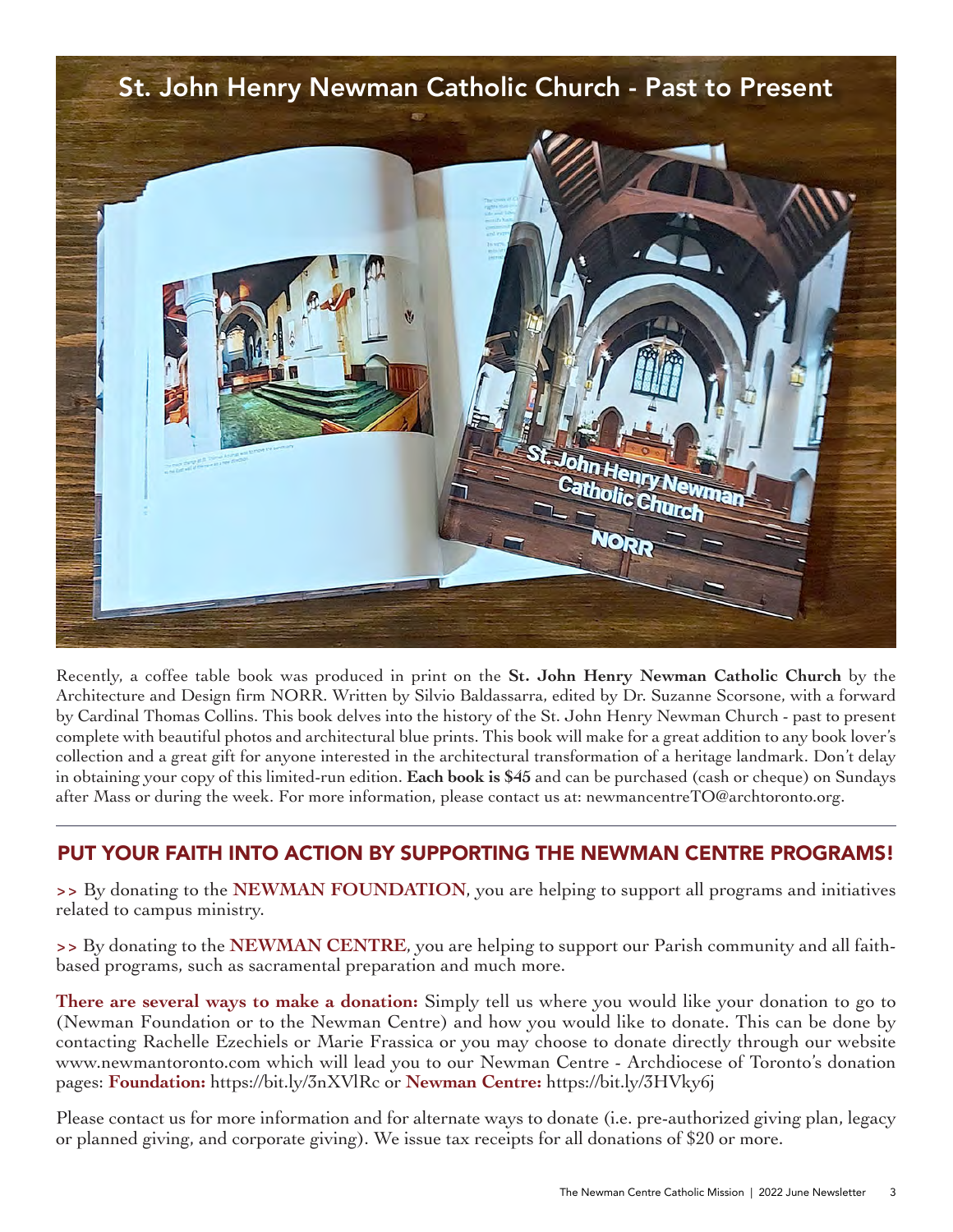# St. John Henry Newman Catholic Church - Past to Present**E.John Henry** Catholic Church **NORR**

Recently, a coffee table book was produced in print on the **St. John Henry Newman Catholic Church** by the Architecture and Design firm NORR. Written by Silvio Baldassarra, edited by Dr. Suzanne Scorsone, with a forward by Cardinal Thomas Collins. This book delves into the history of the St. John Henry Newman Church - past to present complete with beautiful photos and architectural blue prints. This book will make for a great addition to any book lover's collection and a great gift for anyone interested in the architectural transformation of a heritage landmark. Don't delay in obtaining your copy of this limited-run edition. **Each book is \$45** and can be purchased (cash or cheque) on Sundays after Mass or during the week. For more information, please contact us at: newmancentreTO@archtoronto.org.

#### PUT YOUR FAITH INTO ACTION BY SUPPORTING THE NEWMAN CENTRE PROGRAMS!

**>>** By donating to the **NEWMAN FOUNDATION**, you are helping to support all programs and initiatives related to campus ministry.

**>>** By donating to the **NEWMAN CENTRE**, you are helping to support our Parish community and all faithbased programs, such as sacramental preparation and much more.

**There are several ways to make a donation:** Simply tell us where you would like your donation to go to (Newman Foundation or to the Newman Centre) and how you would like to donate. This can be done by contacting Rachelle Ezechiels or Marie Frassica or you may choose to donate directly through our website [www.newmantoronto.com](https://www.newmantoronto.com) which will lead you to our Newman Centre - Archdiocese of Toronto's donation pages: **Foundation:** <https://bit.ly/3nXVlRc>or **Newman Centre:** <https://bit.ly/3HVky6j>

Please contact us for more information and for alternate ways to donate (i.e. pre-authorized giving plan, legacy or planned giving, and corporate giving). We issue tax receipts for all donations of \$20 or more.